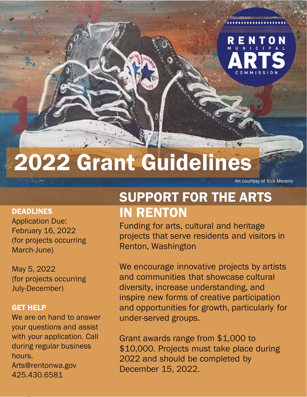

# 2022 Grant Guidelines

Art courtesy of Rick Moreno

### DEADLINES

**Application Due:** February 16, 2022 (for projects occurring March-June)

May 5, 2022 (for projects occurring July-December)

### GET HELP

We are on hand to answer your questions and assist with your application. Call during regular business hours. Arts@rentonwa.gov 425.430.6581

## **SUPPORT FOR THE ARTS IN RENTON**

Funding for arts, cultural and heritage projects that serve residents and visitors in Renton, Washington

We encourage innovative projects by artists and communities that showcase cultural diversity, increase understanding, and inspire new forms of creative participation and opportunities for growth, particularly for under-served groups.

Grant awards range from \$1,000 to \$10,000. Projects must take place during 2022 and should be completed by December 15, 2022.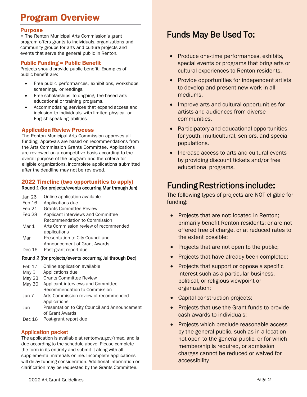### **Program Overview**

#### **Purpose**

• The Renton Municipal Arts Commission's grant program offers grants to individuals, organizations and community groups for arts and culture projects and events that serve the general public in Renton.

### **Public Funding = Public Benefit**

Projects should provide public benefit. Examples of public benefit are:

- Free public performances, exhibitions, workshops, screenings, or readings.
- Free scholarships to ongoing, fee-based arts educational or training programs.
- Accommodating services that expand access and inclusion to individuals with limited physical or English-speaking abilities.

### **Application Review Process**

The Renton Municipal Arts Commission approves all funding. Approvals are based on recommendations from the Arts Commission Grants Committee. Applications are reviewed on a competitive basis according to the overall purpose of the program and the criteria for eligible organizations. Incomplete applications submitted after the deadline may not be reviewed.

### 2022 Timeline (two opportunities to apply)

#### Round 1 (for projects/events occurring Mar through Jun)

- Jan 26 Online application available
- $Feh 16$ Applications due
- Feb 21 **Grants Committee Review**
- Feb 28 Applicant interviews and Committee Recommendation to Commission
- Mar 1 Arts Commission review of recommended applications
- Presentation to City Council and Mar Announcement of Grant Awards
- Dec 16 Post-grant report due

#### Round 2 (for projects/events occurring Jul through Dec)

- Feb 17 Online application available
- May 5 Applications due
- May 23 **Grants Committee Review**
- Applicant interviews and Committee May 30 Recommendation to Commission
- Arts Commission review of recommended  $Jun 7$ applications
- **Jun** Presentation to City Council and Announcement of Grant Awards
- Dec 16 Post-grant report due

### **Application packet**

The application is available at rentonwa.gov/rmac, and is due according to the schedule above. Please complete the form in its entirety and submit it along with all supplemental materials online. Incomplete applications will delay funding consideration. Additional information or clarification may be requested by the Grants Committee.

### **Funds May Be Used To:**

- Produce one-time performances, exhibits,  $\bullet$ special events or programs that bring arts or cultural experiences to Renton residents.
- $\bullet$ Provide opportunities for independent artists to develop and present new work in all mediums.
- Improve arts and cultural opportunities for  $\bullet$ artists and audiences from diverse communities.
- Participatory and educational opportunities  $\bullet$ for youth, multicultural, seniors, and special populations.
- Increase access to arts and cultural events by providing discount tickets and/or free educational programs.

### **Funding Restrictions include:**

The following types of projects are NOT eligible for funding:

- Projects that are not: located in Renton; primarily benefit Renton residents; or are not offered free of charge, or at reduced rates to the extent possible;
- Projects that are not open to the public;
- Projects that have already been completed;
- $\bullet$ Projects that support or oppose a specific interest such as a particular business, political, or religious viewpoint or organization;
- Capital construction projects;
- Projects that use the Grant funds to provide cash awards to individuals;
- Projects which preclude reasonable access by the general public, such as in a location not open to the general public, or for which membership is required, or admission charges cannot be reduced or waived for accessibility